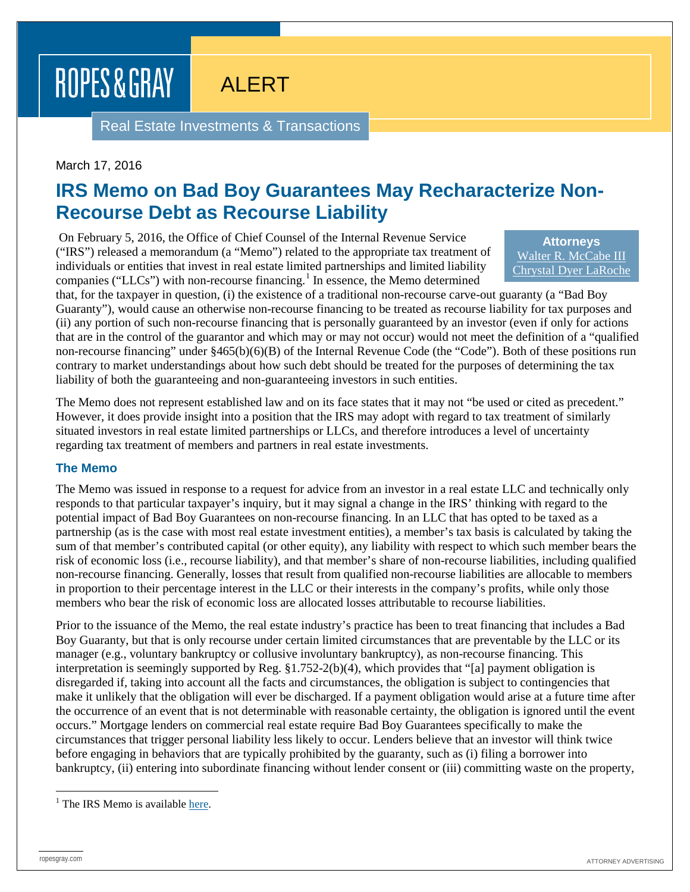ROPES & GRAY

ALERT

Real Estate Investments & Transactions

## March 17, 2016

## **IRS Memo on Bad Boy Guarantees May Recharacterize Non-Recourse Debt as Recourse Liability**

On February 5, 2016, the Office of Chief Counsel of the Internal Revenue Service ("IRS") released a memorandum (a "Memo") related to the appropriate tax treatment of individuals or entities that invest in real estate limited partnerships and limited liability companies ("LLCs") with non-recourse financing.<sup>[1](#page-0-0)</sup> In essence, the Memo determined

**Attorneys** [Walter R. McCabe III](https://www.ropesgray.com/biographies/m/walter-r-mccabe-iii.aspx) [Chrystal Dyer LaRoche](https://www.ropesgray.com/biographies/l/chrystal-dyer-laroche.aspx)

that, for the taxpayer in question, (i) the existence of a traditional non-recourse carve-out guaranty (a "Bad Boy Guaranty"), would cause an otherwise non-recourse financing to be treated as recourse liability for tax purposes and (ii) any portion of such non-recourse financing that is personally guaranteed by an investor (even if only for actions that are in the control of the guarantor and which may or may not occur) would not meet the definition of a "qualified non-recourse financing" under §465(b)(6)(B) of the Internal Revenue Code (the "Code"). Both of these positions run contrary to market understandings about how such debt should be treated for the purposes of determining the tax liability of both the guaranteeing and non-guaranteeing investors in such entities.

The Memo does not represent established law and on its face states that it may not "be used or cited as precedent." However, it does provide insight into a position that the IRS may adopt with regard to tax treatment of similarly situated investors in real estate limited partnerships or LLCs, and therefore introduces a level of uncertainty regarding tax treatment of members and partners in real estate investments.

#### **The Memo**

The Memo was issued in response to a request for advice from an investor in a real estate LLC and technically only responds to that particular taxpayer's inquiry, but it may signal a change in the IRS' thinking with regard to the potential impact of Bad Boy Guarantees on non-recourse financing. In an LLC that has opted to be taxed as a partnership (as is the case with most real estate investment entities), a member's tax basis is calculated by taking the sum of that member's contributed capital (or other equity), any liability with respect to which such member bears the risk of economic loss (i.e., recourse liability), and that member's share of non-recourse liabilities, including qualified non-recourse financing. Generally, losses that result from qualified non-recourse liabilities are allocable to members in proportion to their percentage interest in the LLC or their interests in the company's profits, while only those members who bear the risk of economic loss are allocated losses attributable to recourse liabilities.

Prior to the issuance of the Memo, the real estate industry's practice has been to treat financing that includes a Bad Boy Guaranty, but that is only recourse under certain limited circumstances that are preventable by the LLC or its manager (e.g., voluntary bankruptcy or collusive involuntary bankruptcy), as non-recourse financing. This interpretation is seemingly supported by Reg. §1.752-2(b)(4), which provides that "[a] payment obligation is disregarded if, taking into account all the facts and circumstances, the obligation is subject to contingencies that make it unlikely that the obligation will ever be discharged. If a payment obligation would arise at a future time after the occurrence of an event that is not determinable with reasonable certainty, the obligation is ignored until the event occurs." Mortgage lenders on commercial real estate require Bad Boy Guarantees specifically to make the circumstances that trigger personal liability less likely to occur. Lenders believe that an investor will think twice before engaging in behaviors that are typically prohibited by the guaranty, such as (i) filing a borrower into bankruptcy, (ii) entering into subordinate financing without lender consent or (iii) committing waste on the property,

<span id="page-0-0"></span><sup>&</sup>lt;sup>1</sup> The IRS Memo is availabl[e here.](https://www.irs.gov/pub/irs-wd/201606027.pdf)